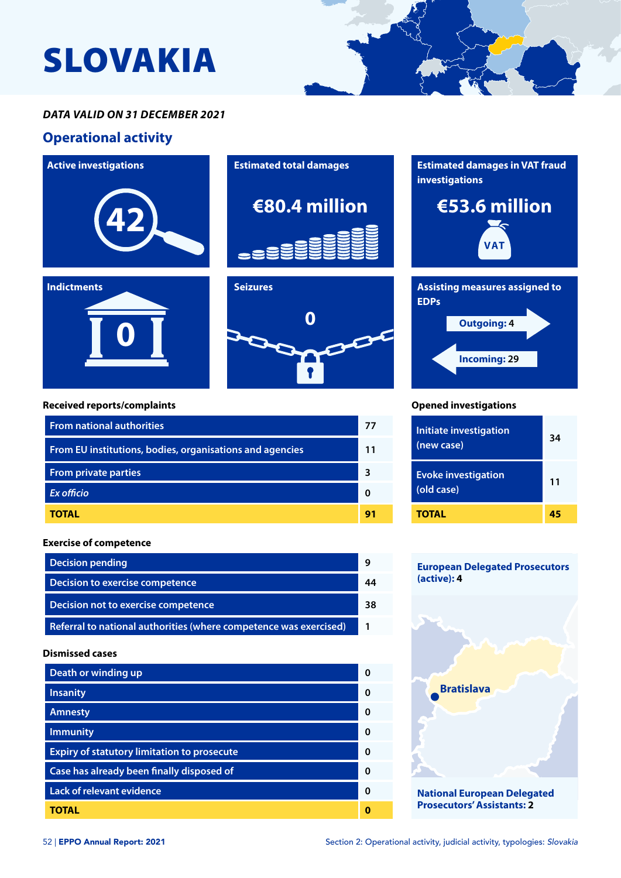# SLOVAKIA

## *DATA VALID ON 31 DECEMBER 2021*

## **Operational activity**







#### **Received reports/complaints**

**0**

**Indictments**

| <b>From national authorities</b>                         | 77 |
|----------------------------------------------------------|----|
| From EU institutions, bodies, organisations and agencies | 11 |
| <b>From private parties</b>                              | ٦  |
| <b>Ex officio</b>                                        |    |
| <b>TOTAL</b>                                             | 91 |

#### **Exercise of competence**

| <b>Decision pending</b>                                           |    |
|-------------------------------------------------------------------|----|
| Decision to exercise competence                                   |    |
| Decision not to exercise competence                               | 38 |
| Referral to national authorities (where competence was exercised) |    |

#### **Dismissed cases**

| Death or winding up                                | ŋ |
|----------------------------------------------------|---|
| <b>Insanity</b>                                    | ŋ |
| <b>Amnesty</b>                                     | O |
| <b>Immunity</b>                                    | O |
| <b>Expiry of statutory limitation to prosecute</b> | ŋ |
| Case has already been finally disposed of          | O |
| <b>Lack of relevant evidence</b>                   | O |
| TOTAL                                              |   |







#### **Opened investigations**

| <b>Initiate investigation</b><br>(new case) | 34 |
|---------------------------------------------|----|
| <b>Evoke investigation</b><br>(old case)    | 11 |
| TOTAL                                       | 45 |

#### **European Delegated Prosecutors (active): 4**